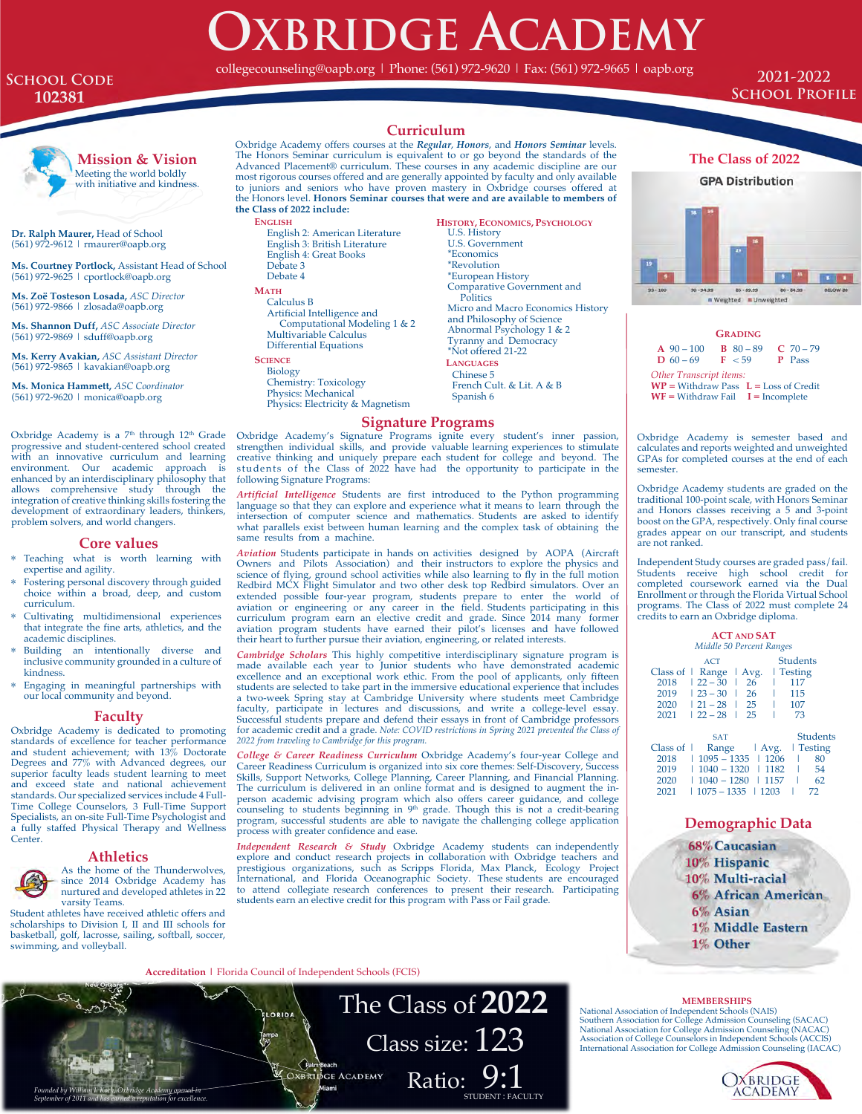# **OXBRIDGE ACADEMY** collegecounseling@oapb.org | Phone: (561) 972-9620 | Fax: (561) 972-9665 | oapb.org

# **School Code 102381**

**2021-2022 School Profile**



**Mission & Vision** Meeting the world boldly with initiative and kindness.

**Dr. Ralph Maurer,** Head of School (561) 972-9612 | rmaurer@oapb.org

**Ms. Courtney Portlock,** Assistant Head of School (561) 972-9625 | cportlock@oapb.org

**Ms. Zoë Tosteson Losada,** *ASC Director* (561) 972-9866 | zlosada@oapb.org

**Ms. Shannon Duff,** *ASC Associate Director* (561) 972-9869 | sduff@oapb.org

**Ms. Kerry Avakian,** *ASC Assistant Director* (561) 972-9865 | kavakian@oapb.org

**Ms. Monica Hammett,** *ASC Coordinator* (561) 972-9620 | monica@oapb.org

Oxbridge Academy is a 7<sup>th</sup> through 12<sup>th</sup> Grade progressive and student-centered school created with an innovative curriculum and learning environment. Our academic approach is enhanced by an interdisciplinary philosophy that allows comprehensive study through the integration of creative thinking skills fostering the development of extraordinary leaders, thinkers, problem solvers, and world changers.

### **Core values**

- \* Teaching what is worth learning with expertise and agility.
- Fostering personal discovery through guided choice within a broad, deep, and custom curriculum.
- Cultivating multidimensional experiences that integrate the fine arts, athletics, and the academic disciplines.
- Building an intentionally diverse and inclusive community grounded in a culture of kindness.
- \* Engaging in meaningful partnerships with our local community and beyond.

#### **Faculty**

Oxbridge Academy is dedicated to promoting standards of excellence for teacher performance and student achievement; with 13% Doctorate Degrees and 77% with Advanced degrees, our superior faculty leads student learning to meet and exceed state and national achievement standards. Our specialized services include 4 Full-Time College Counselors, 3 Full-Time Support Specialists, an on-site Full-Time Psychologist and a fully staffed Physical Therapy and Wellness Center.

#### **Athletics**



As the home of the Thunderwolves, since 2014 Oxbridge Academy has nurtured and developed athletes in 22 varsity Teams.

Student athletes have received athletic offers and scholarships to Division I, II and III schools for basketball, golf, lacrosse, sailing, softball, soccer, swimming, and volleyball.

# **Curriculum**

Oxbridge Academy offers courses at the *Regular*, *Honors*, and *Honors Seminar* levels. The Honors Seminar curriculum is equivalent to or go beyond the standards of the Advanced Placement® curriculum. These courses in any academic discipline are our most rigorous courses offered and are generally appointed by faculty and only available to juniors and seniors who have proven mastery in Oxbridge courses offered at the Honors level. **Honors Seminar courses that were and are available to members of the Class of 2022 include:** 

**ENGLISH** English 2: American Literature

English 3: British Literature English 4: Great Books Debate 3 Debate 4

# **MATH**

Calculus B Artificial Intelligence and Computational Modeling 1 & 2 Multivariable Calculus Differential Equations

#### **SCIENCE**

Biology Chemistry: Toxicology Physics: Mechanical Physics: Electricity & Magnetism **HISTORY, ECONOMICS, PSYCHOLOGY** U.S. History U.S. Government \*Economics \*Revolution \*European History Comparative Government and **Politics** Micro and Macro Economics History and Philosophy of Science Abnormal Psychology 1 & 2 Tyranny and Democracy \*Not offered 21-22 **LANGUAGES**  Chinese 5 French Cult. & Lit. A & B Spanish 6

# **Signature Programs**

Oxbridge Academy's Signature Programs ignite every student's inner passion, strengthen individual skills, and provide valuable learning experiences to stimulate creative thinking and uniquely prepare each student for colle following Signature Programs:

*Artificial Intelligence* Students are first introduced to the Python programming language so that they can explore and experience what it means to learn through the intersection of computer science and mathematics. Students are asked to identify what parallels exist between human learning and the complex task of obtaining the same results from a machine.

*Aviation* Students participate in hands on activities designed by AOPA (Aircraft Owners and Pilots Association) and their instructors to explore the physics and science of flying, ground school activities while also learning to fly in the full motion Redbird MCX Flight Simulator and two other desk top Redbird simulators. Over an extended possible four-year program, students prepare to enter the world of aviation or engineering or any career in the field. Students participating in this<br>curriculum program earn an elective credit and grade. Since 2014 many former<br>aviation program students have earned their pilot's licenses a their heart to further pursue their aviation, engineering, or related interests.

*Cambridge Scholars* This highly competitive interdisciplinary signature program is made available each year to Junior students who have demonstrated academic excellence and an exceptional work ethic. From the pool of applicants, only fifteen students are selected to take part in the immersive educational experience that includes a two-week Spring stay at Cambridge University where students meet Cambridge faculty, participate in lectures and discussions, and write a college-level essay. Successful students prepare and defend their essays in front of Cambridge professors for academic credit and a grade. *Note: COVID restrictions in Spring 2021 prevented the Class of 2022 from traveling to Cambridge for this program.*

*College & Career Readiness Curriculum* Oxbridge Academy's four-year College and Career Readiness Curriculum is organized into six core themes: Self-Discovery, Success<br>Skills, Support Networks, College Planning, Career Planning, and Financial Planning.<br>The curriculum is delivered in an online format an person academic advising program which also offers career guidance, and college counseling to students beginning in 9<sup>th</sup> grade. Though this is not a credit-bearing program, successful students are able to navigate the challenging college application process with greater confidence and ease.

*Independent Research & Study* Oxbridge Academy students can independently explore and conduct research projects in collaboration with Oxbridge teachers and prestigious organizations, such as Scripps Florida, Max Planck, Ecology Project International, and Florida Oceanographic Society. These students are encouraged to attend collegiate research conferences to present their research. Participating students earn an elective credit for this program with Pass or Fail grade.

**Accreditation |** Florida Council of Independent Schools (FCIS)





**GRADING A** 90 – 100 **B** 80 – 89 **C** 70 – 79<br>**D** 60 – 69 **F** < 59 **P** Pass  $D_60 - 69$ *Other Transcript items:* **WP =** Withdraw Pass **L =** Loss of Credit  $WF = Without Fail$   $I = Incomplete$ 

Oxbridge Academy is semester based and calculates and reports weighted and unweighted GPAs for completed courses at the end of each semester.

Oxbridge Academy students are graded on the traditional 100-point scale, with Honors Seminar and Honors classes receiving a 5 and 3-point boost on the GPA, respectively. Only final course grades appear on our transcript, and students are not ranked.

Independent Study courses are graded pass/fail. Students receive high school credit for completed coursework earned via the Dual Enrollment or through the Florida Virtual School programs. The Class of 2022 must complete 24 credits to earn an Oxbridge diploma.

| <b>ACT AND SAT</b>       |                 |       |                 |
|--------------------------|-----------------|-------|-----------------|
| Middle 50 Percent Ranges |                 |       |                 |
|                          | ACT             |       | <b>Students</b> |
| Class of                 | Range           | Avg.  | <b>Testing</b>  |
| 2018                     | $122 - 30$      | 26    | 117             |
| 2019                     | $123 - 30$<br>I | 26    | 115             |
| 2020                     | $121 - 28$<br>I | 25    | 107             |
| 2021                     | $122 - 28$      | 25    | 73              |
|                          | <b>SAT</b>      |       | <b>Students</b> |
| Class of $\vert$         | Range           | Avg.  | Testing         |
| 2018                     | $1095 - 1335$   | 11206 | 80              |
| 2019                     | $1040 - 1320$   | 1182  | 54              |
| 2020                     | $1040 - 1280$   | 1157  | 62              |
| 2021                     | $1075 - 1335$   | 1203  | 72              |

## **Demographic Data**



#### **MEMBERSHIPS**

National Association of Independent Schools (NAIS)  $\textbf{Class size: } 123\textbf{ \tiny{{{\footnotesize{{\text{Model}}}}\xspace} \textbf{S}}} \textbf{ \tiny{{{\footnotesize{{\text{Model}}}\xspace} \textbf{S}}} \textbf{ \tiny{{{\footnotesize{{\text{Model}}}\xspace} \textbf{S}}\xspace}} \textbf{ \tiny{{\footnotesize{{\text{Model}}}\xspace} \textbf{S}}\xspace}} \textbf{ \tiny{{\footnotesize{{\text{Model}}}\xspace} \textbf{S}}\xspace \textbf{Size:} 128\textbf{ \tiny {{{\footnotesize{{\text{Method}}}\xspace}}} \textbf{ \tiny{{\footnotesize{{\text{Model}}}\xspace} \textbf$